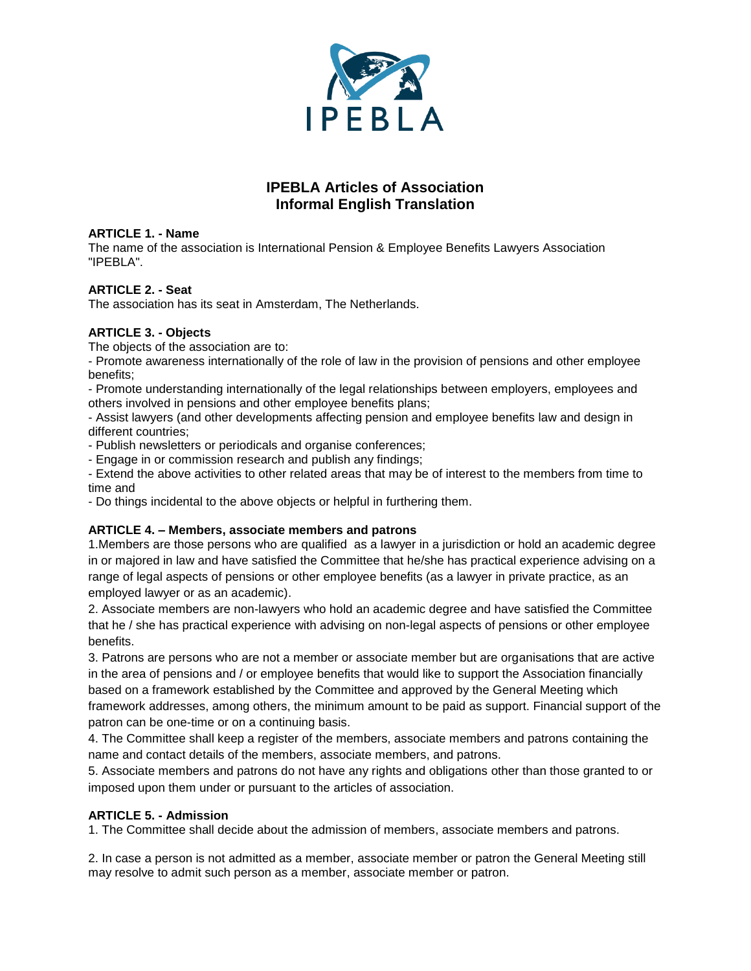

# **IPEBLA Articles of Association Informal English Translation**

# **ARTICLE 1. - Name**

The name of the association is International Pension & Employee Benefits Lawyers Association "IPEBLA".

# **ARTICLE 2. - Seat**

The association has its seat in Amsterdam, The Netherlands.

# **ARTICLE 3. - Objects**

The objects of the association are to:

- Promote awareness internationally of the role of law in the provision of pensions and other employee benefits;

- Promote understanding internationally of the legal relationships between employers, employees and others involved in pensions and other employee benefits plans;

- Assist lawyers (and other developments affecting pension and employee benefits law and design in different countries;

- Publish newsletters or periodicals and organise conferences;

- Engage in or commission research and publish any findings;

- Extend the above activities to other related areas that may be of interest to the members from time to time and

- Do things incidental to the above objects or helpful in furthering them.

# **ARTICLE 4. – Members, associate members and patrons**

1.Members are those persons who are qualified as a lawyer in a jurisdiction or hold an academic degree in or majored in law and have satisfied the Committee that he/she has practical experience advising on a range of legal aspects of pensions or other employee benefits (as a lawyer in private practice, as an employed lawyer or as an academic).

2. Associate members are non-lawyers who hold an academic degree and have satisfied the Committee that he / she has practical experience with advising on non-legal aspects of pensions or other employee benefits.

3. Patrons are persons who are not a member or associate member but are organisations that are active in the area of pensions and / or employee benefits that would like to support the Association financially based on a framework established by the Committee and approved by the General Meeting which framework addresses, among others, the minimum amount to be paid as support. Financial support of the patron can be one-time or on a continuing basis.

4. The Committee shall keep a register of the members, associate members and patrons containing the name and contact details of the members, associate members, and patrons.

5. Associate members and patrons do not have any rights and obligations other than those granted to or imposed upon them under or pursuant to the articles of association.

# **ARTICLE 5. - Admission**

1. The Committee shall decide about the admission of members, associate members and patrons.

2. In case a person is not admitted as a member, associate member or patron the General Meeting still may resolve to admit such person as a member, associate member or patron.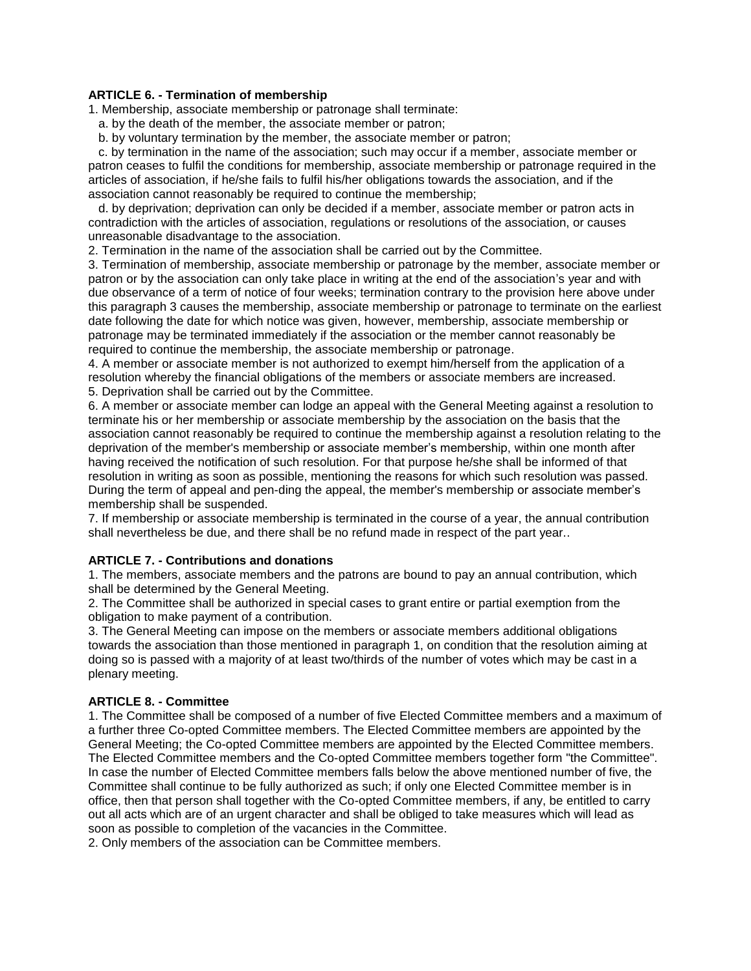#### **ARTICLE 6. - Termination of membership**

1. Membership, associate membership or patronage shall terminate:

a. by the death of the member, the associate member or patron;

b. by voluntary termination by the member, the associate member or patron;

 c. by termination in the name of the association; such may occur if a member, associate member or patron ceases to fulfil the conditions for membership, associate membership or patronage required in the articles of association, if he/she fails to fulfil his/her obligations towards the association, and if the association cannot reasonably be required to continue the membership;

 d. by deprivation; deprivation can only be decided if a member, associate member or patron acts in contradiction with the articles of association, regulations or resolutions of the association, or causes unreasonable disadvantage to the association.

2. Termination in the name of the association shall be carried out by the Committee.

3. Termination of membership, associate membership or patronage by the member, associate member or patron or by the association can only take place in writing at the end of the association's year and with due observance of a term of notice of four weeks; termination contrary to the provision here above under this paragraph 3 causes the membership, associate membership or patronage to terminate on the earliest date following the date for which notice was given, however, membership, associate membership or patronage may be terminated immediately if the association or the member cannot reasonably be required to continue the membership, the associate membership or patronage.

4. A member or associate member is not authorized to exempt him/herself from the application of a resolution whereby the financial obligations of the members or associate members are increased.

5. Deprivation shall be carried out by the Committee.

6. A member or associate member can lodge an appeal with the General Meeting against a resolution to terminate his or her membership or associate membership by the association on the basis that the association cannot reasonably be required to continue the membership against a resolution relating to the deprivation of the member's membership or associate member's membership, within one month after having received the notification of such resolution. For that purpose he/she shall be informed of that resolution in writing as soon as possible, mentioning the reasons for which such resolution was passed. During the term of appeal and pen-ding the appeal, the member's membership or associate member's membership shall be suspended.

7. If membership or associate membership is terminated in the course of a year, the annual contribution shall nevertheless be due, and there shall be no refund made in respect of the part year..

#### **ARTICLE 7. - Contributions and donations**

1. The members, associate members and the patrons are bound to pay an annual contribution, which shall be determined by the General Meeting.

2. The Committee shall be authorized in special cases to grant entire or partial exemption from the obligation to make payment of a contribution.

3. The General Meeting can impose on the members or associate members additional obligations towards the association than those mentioned in paragraph 1, on condition that the resolution aiming at doing so is passed with a majority of at least two/thirds of the number of votes which may be cast in a plenary meeting.

#### **ARTICLE 8. - Committee**

1. The Committee shall be composed of a number of five Elected Committee members and a maximum of a further three Co-opted Committee members. The Elected Committee members are appointed by the General Meeting; the Co-opted Committee members are appointed by the Elected Committee members. The Elected Committee members and the Co-opted Committee members together form "the Committee". In case the number of Elected Committee members falls below the above mentioned number of five, the Committee shall continue to be fully authorized as such; if only one Elected Committee member is in office, then that person shall together with the Co-opted Committee members, if any, be entitled to carry out all acts which are of an urgent character and shall be obliged to take measures which will lead as soon as possible to completion of the vacancies in the Committee.

2. Only members of the association can be Committee members.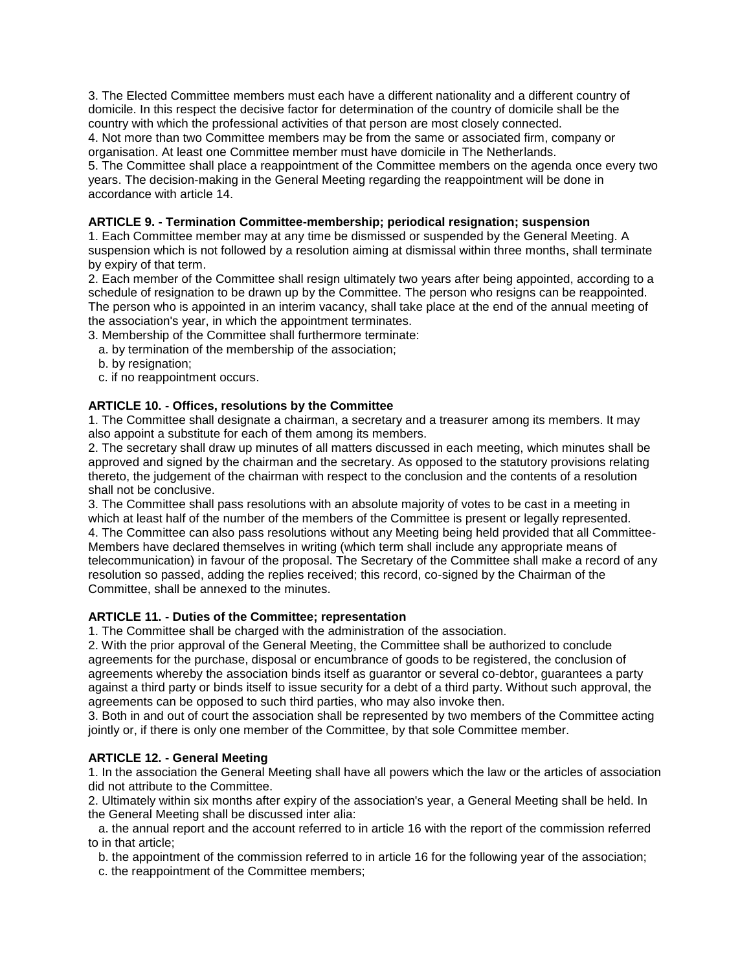3. The Elected Committee members must each have a different nationality and a different country of domicile. In this respect the decisive factor for determination of the country of domicile shall be the country with which the professional activities of that person are most closely connected.

4. Not more than two Committee members may be from the same or associated firm, company or organisation. At least one Committee member must have domicile in The Netherlands.

5. The Committee shall place a reappointment of the Committee members on the agenda once every two years. The decision-making in the General Meeting regarding the reappointment will be done in accordance with article 14.

#### **ARTICLE 9. - Termination Committee-membership; periodical resignation; suspension**

1. Each Committee member may at any time be dismissed or suspended by the General Meeting. A suspension which is not followed by a resolution aiming at dismissal within three months, shall terminate by expiry of that term.

2. Each member of the Committee shall resign ultimately two years after being appointed, according to a schedule of resignation to be drawn up by the Committee. The person who resigns can be reappointed. The person who is appointed in an interim vacancy, shall take place at the end of the annual meeting of the association's year, in which the appointment terminates.

3. Membership of the Committee shall furthermore terminate:

- a. by termination of the membership of the association;
- b. by resignation;
- c. if no reappointment occurs.

#### **ARTICLE 10. - Offices, resolutions by the Committee**

1. The Committee shall designate a chairman, a secretary and a treasurer among its members. It may also appoint a substitute for each of them among its members.

2. The secretary shall draw up minutes of all matters discussed in each meeting, which minutes shall be approved and signed by the chairman and the secretary. As opposed to the statutory provisions relating thereto, the judgement of the chairman with respect to the conclusion and the contents of a resolution shall not be conclusive.

3. The Committee shall pass resolutions with an absolute majority of votes to be cast in a meeting in which at least half of the number of the members of the Committee is present or legally represented. 4. The Committee can also pass resolutions without any Meeting being held provided that all Committee-Members have declared themselves in writing (which term shall include any appropriate means of telecommunication) in favour of the proposal. The Secretary of the Committee shall make a record of any resolution so passed, adding the replies received; this record, co-signed by the Chairman of the Committee, shall be annexed to the minutes.

#### **ARTICLE 11. - Duties of the Committee; representation**

1. The Committee shall be charged with the administration of the association.

2. With the prior approval of the General Meeting, the Committee shall be authorized to conclude agreements for the purchase, disposal or encumbrance of goods to be registered, the conclusion of agreements whereby the association binds itself as guarantor or several co-debtor, guarantees a party against a third party or binds itself to issue security for a debt of a third party. Without such approval, the agreements can be opposed to such third parties, who may also invoke then.

3. Both in and out of court the association shall be represented by two members of the Committee acting jointly or, if there is only one member of the Committee, by that sole Committee member.

#### **ARTICLE 12. - General Meeting**

1. In the association the General Meeting shall have all powers which the law or the articles of association did not attribute to the Committee.

2. Ultimately within six months after expiry of the association's year, a General Meeting shall be held. In the General Meeting shall be discussed inter alia:

 a. the annual report and the account referred to in article 16 with the report of the commission referred to in that article;

b. the appointment of the commission referred to in article 16 for the following year of the association;

c. the reappointment of the Committee members;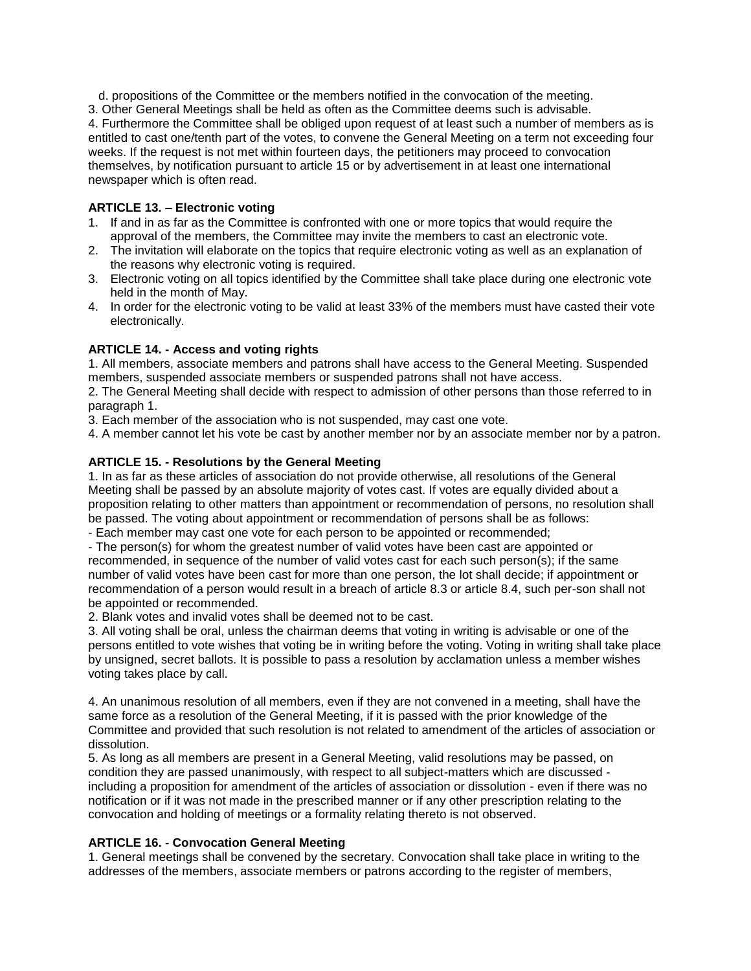d. propositions of the Committee or the members notified in the convocation of the meeting.

3. Other General Meetings shall be held as often as the Committee deems such is advisable. 4. Furthermore the Committee shall be obliged upon request of at least such a number of members as is entitled to cast one/tenth part of the votes, to convene the General Meeting on a term not exceeding four weeks. If the request is not met within fourteen days, the petitioners may proceed to convocation themselves, by notification pursuant to article 15 or by advertisement in at least one international newspaper which is often read.

# **ARTICLE 13. – Electronic voting**

- 1. If and in as far as the Committee is confronted with one or more topics that would require the approval of the members, the Committee may invite the members to cast an electronic vote.
- 2. The invitation will elaborate on the topics that require electronic voting as well as an explanation of the reasons why electronic voting is required.
- 3. Electronic voting on all topics identified by the Committee shall take place during one electronic vote held in the month of May.
- 4. In order for the electronic voting to be valid at least 33% of the members must have casted their vote electronically.

# **ARTICLE 14. - Access and voting rights**

1. All members, associate members and patrons shall have access to the General Meeting. Suspended members, suspended associate members or suspended patrons shall not have access.

2. The General Meeting shall decide with respect to admission of other persons than those referred to in paragraph 1.

3. Each member of the association who is not suspended, may cast one vote.

4. A member cannot let his vote be cast by another member nor by an associate member nor by a patron.

# **ARTICLE 15. - Resolutions by the General Meeting**

1. In as far as these articles of association do not provide otherwise, all resolutions of the General Meeting shall be passed by an absolute majority of votes cast. If votes are equally divided about a proposition relating to other matters than appointment or recommendation of persons, no resolution shall be passed. The voting about appointment or recommendation of persons shall be as follows:

- Each member may cast one vote for each person to be appointed or recommended;

- The person(s) for whom the greatest number of valid votes have been cast are appointed or recommended, in sequence of the number of valid votes cast for each such person(s); if the same number of valid votes have been cast for more than one person, the lot shall decide; if appointment or recommendation of a person would result in a breach of article 8.3 or article 8.4, such per-son shall not be appointed or recommended.

2. Blank votes and invalid votes shall be deemed not to be cast.

3. All voting shall be oral, unless the chairman deems that voting in writing is advisable or one of the persons entitled to vote wishes that voting be in writing before the voting. Voting in writing shall take place by unsigned, secret ballots. It is possible to pass a resolution by acclamation unless a member wishes voting takes place by call.

4. An unanimous resolution of all members, even if they are not convened in a meeting, shall have the same force as a resolution of the General Meeting, if it is passed with the prior knowledge of the Committee and provided that such resolution is not related to amendment of the articles of association or dissolution.

5. As long as all members are present in a General Meeting, valid resolutions may be passed, on condition they are passed unanimously, with respect to all subject-matters which are discussed including a proposition for amendment of the articles of association or dissolution - even if there was no notification or if it was not made in the prescribed manner or if any other prescription relating to the convocation and holding of meetings or a formality relating thereto is not observed.

# **ARTICLE 16. - Convocation General Meeting**

1. General meetings shall be convened by the secretary. Convocation shall take place in writing to the addresses of the members, associate members or patrons according to the register of members,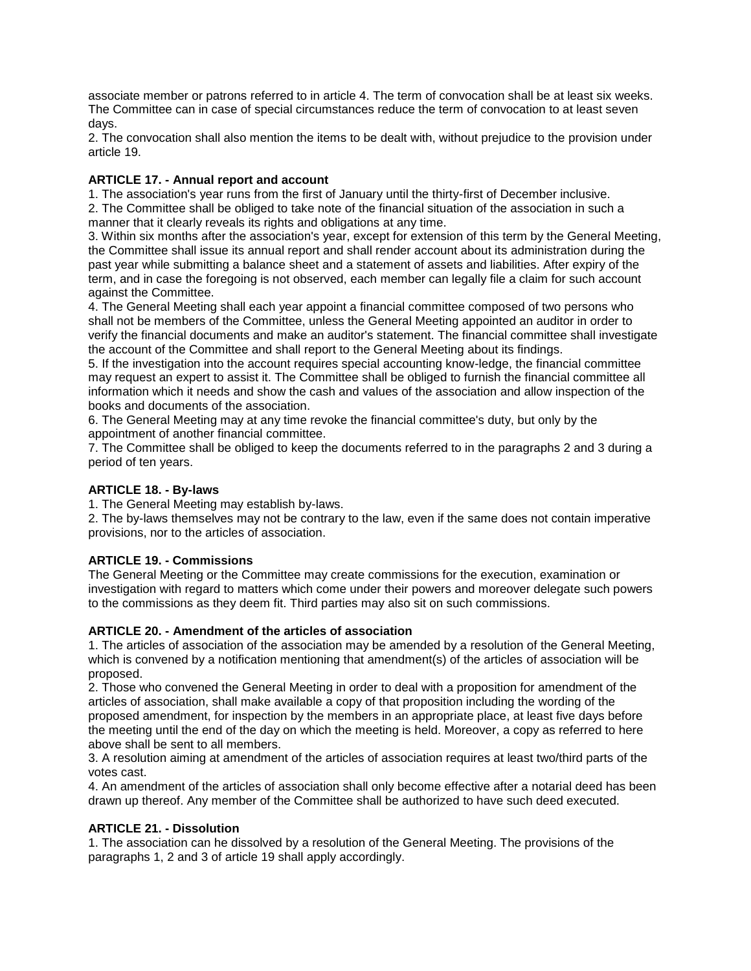associate member or patrons referred to in article 4. The term of convocation shall be at least six weeks. The Committee can in case of special circumstances reduce the term of convocation to at least seven days.

2. The convocation shall also mention the items to be dealt with, without prejudice to the provision under article 19.

# **ARTICLE 17. - Annual report and account**

1. The association's year runs from the first of January until the thirty-first of December inclusive. 2. The Committee shall be obliged to take note of the financial situation of the association in such a manner that it clearly reveals its rights and obligations at any time.

3. Within six months after the association's year, except for extension of this term by the General Meeting, the Committee shall issue its annual report and shall render account about its administration during the past year while submitting a balance sheet and a statement of assets and liabilities. After expiry of the term, and in case the foregoing is not observed, each member can legally file a claim for such account against the Committee.

4. The General Meeting shall each year appoint a financial committee composed of two persons who shall not be members of the Committee, unless the General Meeting appointed an auditor in order to verify the financial documents and make an auditor's statement. The financial committee shall investigate the account of the Committee and shall report to the General Meeting about its findings.

5. If the investigation into the account requires special accounting know-ledge, the financial committee may request an expert to assist it. The Committee shall be obliged to furnish the financial committee all information which it needs and show the cash and values of the association and allow inspection of the books and documents of the association.

6. The General Meeting may at any time revoke the financial committee's duty, but only by the appointment of another financial committee.

7. The Committee shall be obliged to keep the documents referred to in the paragraphs 2 and 3 during a period of ten years.

#### **ARTICLE 18. - By-laws**

1. The General Meeting may establish by-laws.

2. The by-laws themselves may not be contrary to the law, even if the same does not contain imperative provisions, nor to the articles of association.

# **ARTICLE 19. - Commissions**

The General Meeting or the Committee may create commissions for the execution, examination or investigation with regard to matters which come under their powers and moreover delegate such powers to the commissions as they deem fit. Third parties may also sit on such commissions.

# **ARTICLE 20. - Amendment of the articles of association**

1. The articles of association of the association may be amended by a resolution of the General Meeting, which is convened by a notification mentioning that amendment(s) of the articles of association will be proposed.

2. Those who convened the General Meeting in order to deal with a proposition for amendment of the articles of association, shall make available a copy of that proposition including the wording of the proposed amendment, for inspection by the members in an appropriate place, at least five days before the meeting until the end of the day on which the meeting is held. Moreover, a copy as referred to here above shall be sent to all members.

3. A resolution aiming at amendment of the articles of association requires at least two/third parts of the votes cast.

4. An amendment of the articles of association shall only become effective after a notarial deed has been drawn up thereof. Any member of the Committee shall be authorized to have such deed executed.

#### **ARTICLE 21. - Dissolution**

1. The association can he dissolved by a resolution of the General Meeting. The provisions of the paragraphs 1, 2 and 3 of article 19 shall apply accordingly.